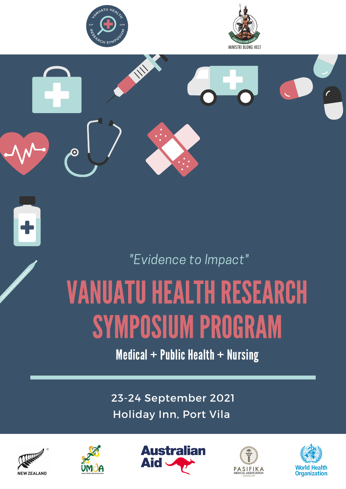





### "Evidence to Impact"

# VANUATU HEALTH RESEARCH SYMPOSIUM PROGRAM

Medical  $+$  Public Health  $+$  Nursing

23-24 September 2021 Holiday Inn, Port Vila









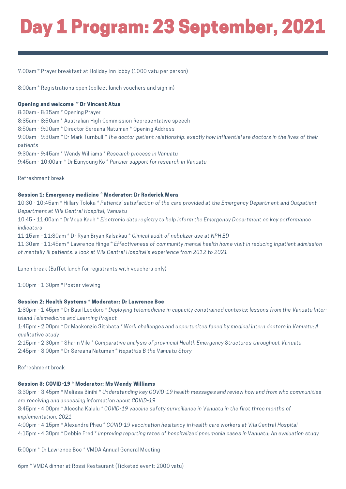### Day 1 Program: 23 September, 2021

7:00am \* Prayer breakfast at Holiday Inn lobby (1000 vatu per person)

8:00am \* Registrations open (collect lunch vouchers and sign in)

### Opening and welcome \* Dr Vincent Atua

8:30am - 8:35am \* Opening Prayer 8:35am - 8:50am \* Australian High Commission Representative speech 8:50am - 9:00am \* Director Sereana Natuman \* Opening Address 9:00am - 9:30am \* Dr Mark Turnbull \* The doctor-patient relationship: exactly how influential are doctors in the lives of their patients 9:30am - 9:45am \* Wendy Williams \* Research process in Vanuatu 9:45am - 10:00am \* Dr Eunyoung Ko \* Partner support for research in Vanuatu

Refreshment break

### Session 1: Emergency medicine \* Moderator: Dr Roderick Mera

10:30 - 10:45am \* Hillary Toloka \* Patients' satisfaction of the care provided at the Emergency Department and Outpatient Department at Vila Central Hospital, Vanuatu

10:45 - 11:00am \* Dr Vega Kauh \* Electronic data registry to help inform the Emergency Department on key performance indicators

11:15am - 11:30am \* Dr Ryan Bryan Kalsakau \* Clinical audit of nebulizer use at NPH ED

11:30am - 11:45am \* Lawrence Hinge \* Effectiveness of community mental health home visit in reducing inpatient admission of mentally ill patients: a look at Vila Central Hospital's experience from 2012 to 2021

Lunch break (Buffet lunch for registrants with vouchers only)

1:00pm - 1:30pm \* Poster viewing

#### Session 2: Health Systems \* Moderator: Dr Lawrence Boe

1:30pm - 1:45pm \* Dr Basil Leodoro \* Deploying telemedicine in capacity constrained contexts: lessons from the Vanuatu Interisland Telemedicine and Learning Project

1:45pm - 2:00pm \* Dr Mackenzie Sitobata \* Work challenges and opportunites faced by medical intern doctors in Vanuatu: A qualitative study

2:15pm - 2:30pm \* Sharin Vile \* Comparative analysis of provincial Health Emergency Structures throughout Vanuatu 2:45pm - 3:00pm \* Dr Sereana Natuman \* Hepatitis B the Vanuatu Story

Refreshment break

#### Session 3: COVID-19 \* Moderator: Ms Wendy Williams

3:30pm - 3:45pm \* Melissa Binihi \* Understanding key COVID-19 health messages and review how and from who communities are receiving and accessing information about COVID-19

3:45pm - 4:00pm \* Aleesha Kalulu \* COVID-19 vaccine safety surveillance in Vanuatu in the first three months of implementation, 2021

4:00pm - 4:15pm \* Alexandre Pheu \* COVID-19 vaccination hesitancy in health care workers at Vila Central Hospital 4:15pm - 4:30pm \* Debbie Fred \* Improving reporting rates of hospitalized pneumonia cases in Vanuatu: An evaluation study

5:00pm \* Dr Lawrence Boe \* VMDA Annual General Meeting

6pm \* VMDA dinner at Rossi Restaurant (Ticketed event: 2000 vatu)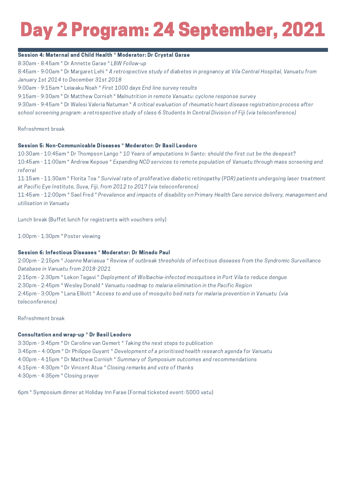## Day 2 Program: 24 September, 2021

### Session 4: Maternal and Child Health \* Moderator: Dr Crystal Garae

8:30am - 8:45am \* Dr Annette Garae \* LBW Follow-up

8:45am - 9:00am \* Dr Margaret Lehi \* A retrospective study of diabetes in pregnancy at Vila Central Hospital, Vanuatu from January 1st 2014 to December 31st 2018

9:00am - 9:15am \* Leiwaku Noah \* First 1000 days End line survey results

9:15am - 9:30am \* Dr Matthew Cornish \* Malnutrition in remote Vanuatu: cyclone response survey

9:30am - 9:45am \* Dr Walesi Valeria Natuman \* A critical evaluation of rheumatic heart disease registration process after school screening program: a retrospective study of class 6 Students In Central Division of Fiji (via teleconference)

Refreshment break

### Session 5: Non-Communicable Diseases \* Moderator: Dr Basil Leodoro

10:30am - 10:45am \* Dr Thompson Lango \* 10 Years of amputations In Santo: should the first cut be the deepest? 10:45am - 11:00am \* Andrew Kepoue \* Expanding NCD services to remote population of Vanuatu through mass screening and referral

11:15am - 11:30am \* Florita Toa \* Survival rate of proliferative diabetic retinopathy (PDR) patients undergoing laser treatment at Pacific Eye Institute, Suva, Fiji, from 2012 to 2017 (via teleconference)

11:45am - 12:00pm \* Sael Fred \* Prevalence and impacts of disability on Primary Health Care service delivery, management and utilisation in Vanuatu

Lunch break (Buffet lunch for registrants with vouchers only)

1:00pm - 1:30pm \* Poster viewing

### Session 6: Infectious Diseases \* Moderator: Dr Minado Paul

2:00pm - 2:15pm \* Joanne Mariasua \* Review of outbreak thresholds of infectious diseases from the Syndromic Surveillance Database in Vanuatu from 2018-2021

2:15pm - 2:30pm \* Lekon Tagavi \* Deployment of Wolbachia-infected mosquitoes in Port Vila to reduce dengue

2:30pm - 2:45pm \* Wesley Donald \* Vanuatu roadmap to malaria elimination in the Pacific Region

2:45pm - 3:00pm \* Lana Elliott \* Access to and use of mosquito bed nets for malaria prevention in Vanuatu (via teleconference)

Refreshment break

### Consultation and wrap-up \* Dr Basil Leodoro

3:30pm - 3:45pm \* Dr Caroline van Gemert \* Taking the next steps to publication 3:45pm – 4:00pm \* Dr Philippe Guyant \* Development of a prioritised health research agenda for Vanuatu 4:00pm - 4:15pm \* Dr Matthew Cornish \* Summary of Symposium outcomes and recommendations 4:15pm - 4:30pm \* Dr Vincent Atua \* Closing remarks and vote of thanks 4:30pm - 4:35pm \* Closing prayer

6pm \* Symposium dinner at Holiday Inn Farae (Formal ticketed event: 5000 vatu)